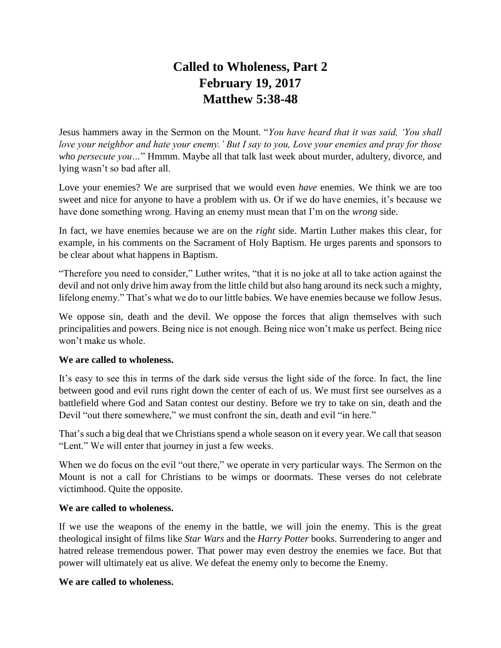# **Called to Wholeness, Part 2 February 19, 2017 Matthew 5:38-48**

Jesus hammers away in the Sermon on the Mount. "*You have heard that it was said, 'You shall love your neighbor and hate your enemy.' But I say to you, Love your enemies and pray for those who persecute you…*" Hmmm. Maybe all that talk last week about murder, adultery, divorce, and lying wasn't so bad after all.

Love your enemies? We are surprised that we would even *have* enemies. We think we are too sweet and nice for anyone to have a problem with us. Or if we do have enemies, it's because we have done something wrong. Having an enemy must mean that I'm on the *wrong* side.

In fact, we have enemies because we are on the *right* side. Martin Luther makes this clear, for example, in his comments on the Sacrament of Holy Baptism. He urges parents and sponsors to be clear about what happens in Baptism.

"Therefore you need to consider," Luther writes, "that it is no joke at all to take action against the devil and not only drive him away from the little child but also hang around its neck such a mighty, lifelong enemy." That's what we do to our little babies. We have enemies because we follow Jesus.

We oppose sin, death and the devil. We oppose the forces that align themselves with such principalities and powers. Being nice is not enough. Being nice won't make us perfect. Being nice won't make us whole.

## **We are called to wholeness.**

It's easy to see this in terms of the dark side versus the light side of the force. In fact, the line between good and evil runs right down the center of each of us. We must first see ourselves as a battlefield where God and Satan contest our destiny. Before we try to take on sin, death and the Devil "out there somewhere," we must confront the sin, death and evil "in here."

That's such a big deal that we Christians spend a whole season on it every year. We call that season "Lent." We will enter that journey in just a few weeks.

When we do focus on the evil "out there," we operate in very particular ways. The Sermon on the Mount is not a call for Christians to be wimps or doormats. These verses do not celebrate victimhood. Quite the opposite.

## **We are called to wholeness.**

If we use the weapons of the enemy in the battle, we will join the enemy. This is the great theological insight of films like *Star Wars* and the *Harry Potter* books. Surrendering to anger and hatred release tremendous power. That power may even destroy the enemies we face. But that power will ultimately eat us alive. We defeat the enemy only to become the Enemy.

## **We are called to wholeness.**